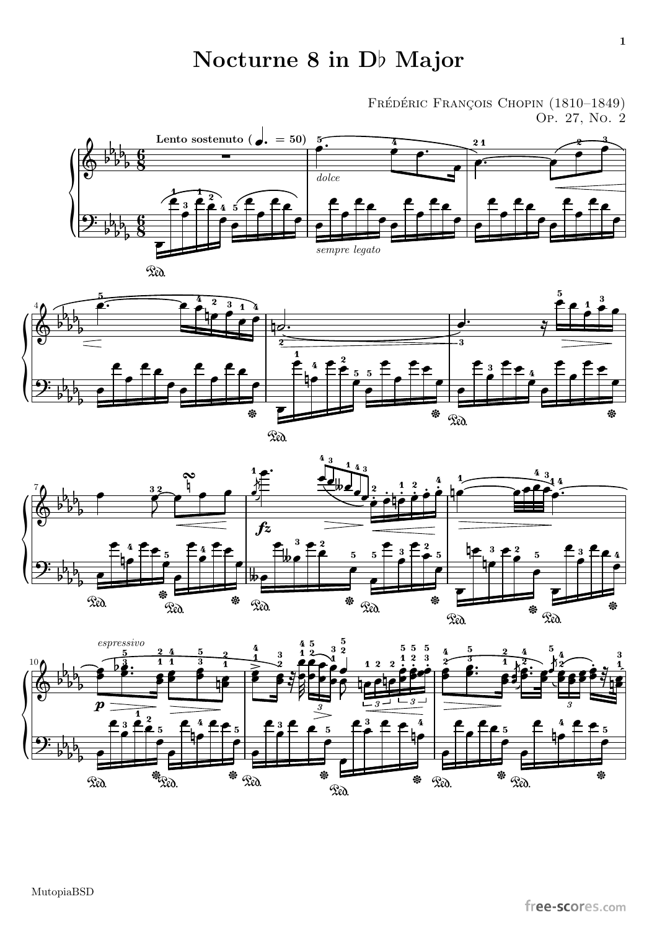## Nocturne 8 in Db Major





![](_page_0_Figure_3.jpeg)

![](_page_0_Figure_4.jpeg)

MutopiaBSD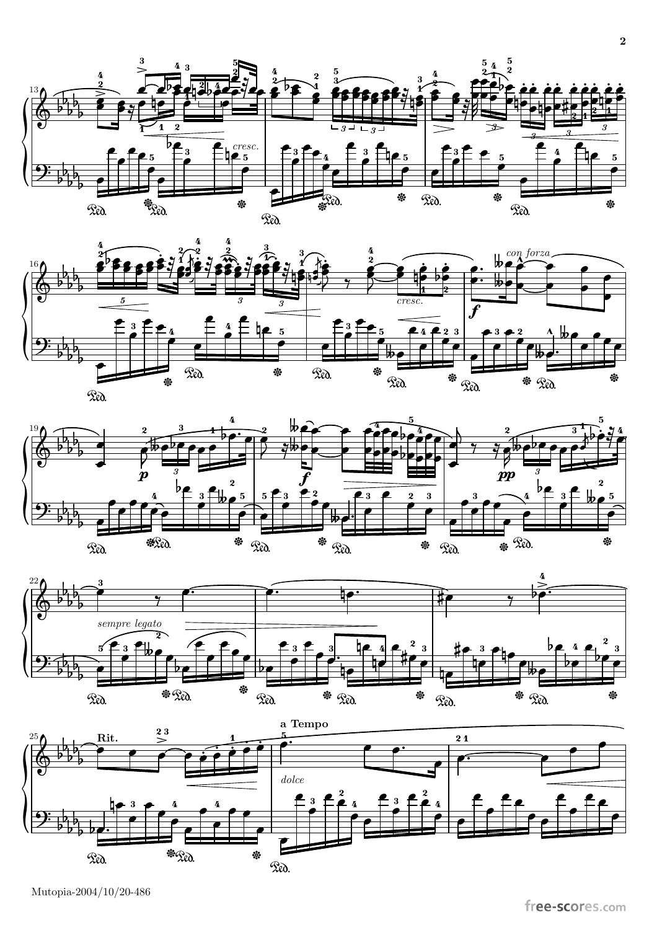![](_page_1_Figure_0.jpeg)

![](_page_1_Figure_1.jpeg)

![](_page_1_Figure_3.jpeg)

![](_page_1_Figure_4.jpeg)

![](_page_1_Figure_5.jpeg)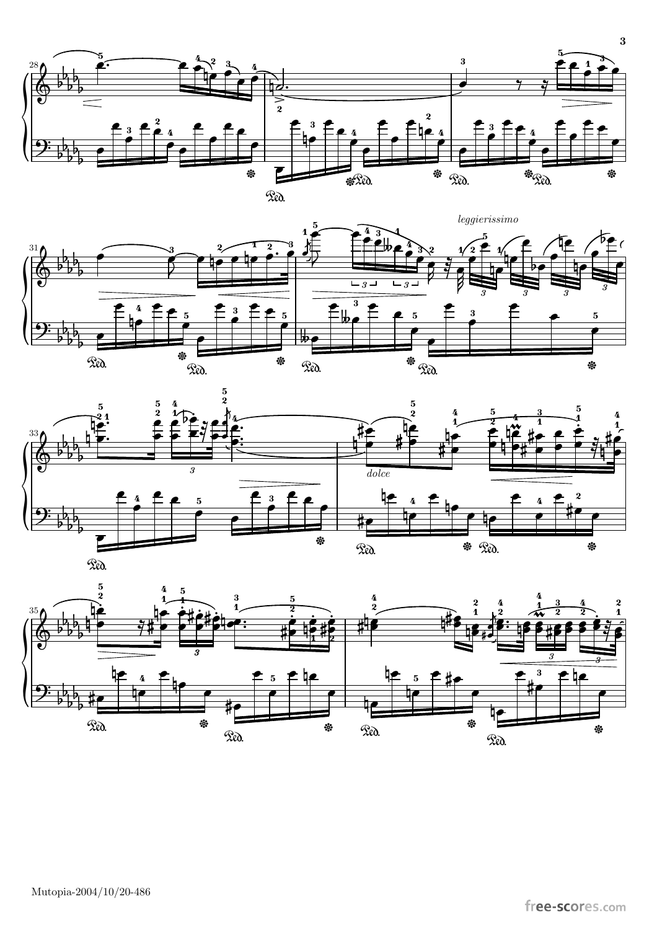![](_page_2_Figure_0.jpeg)

![](_page_2_Figure_1.jpeg)

![](_page_2_Figure_2.jpeg)

![](_page_2_Figure_3.jpeg)

Mutopia-2004/10/20-486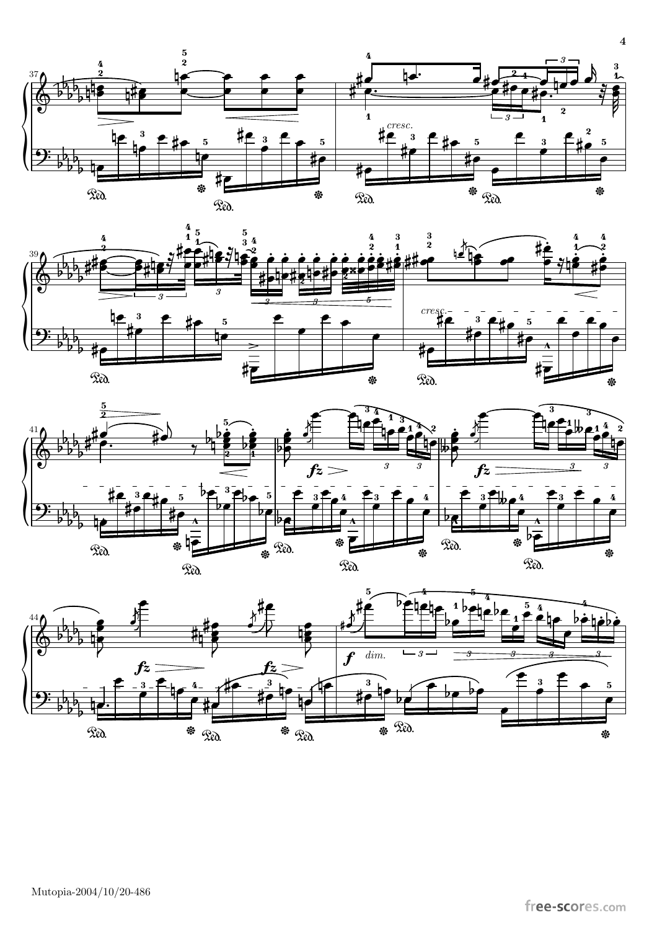![](_page_3_Figure_0.jpeg)

![](_page_3_Figure_1.jpeg)

![](_page_3_Figure_2.jpeg)

![](_page_3_Figure_3.jpeg)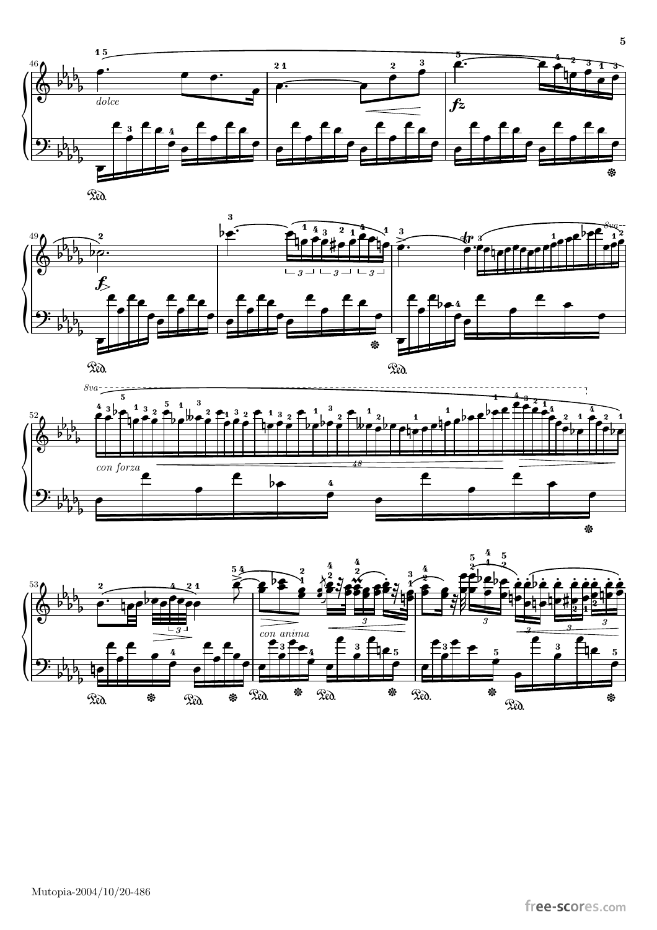![](_page_4_Figure_0.jpeg)

![](_page_4_Figure_1.jpeg)

![](_page_4_Figure_2.jpeg)

![](_page_4_Figure_3.jpeg)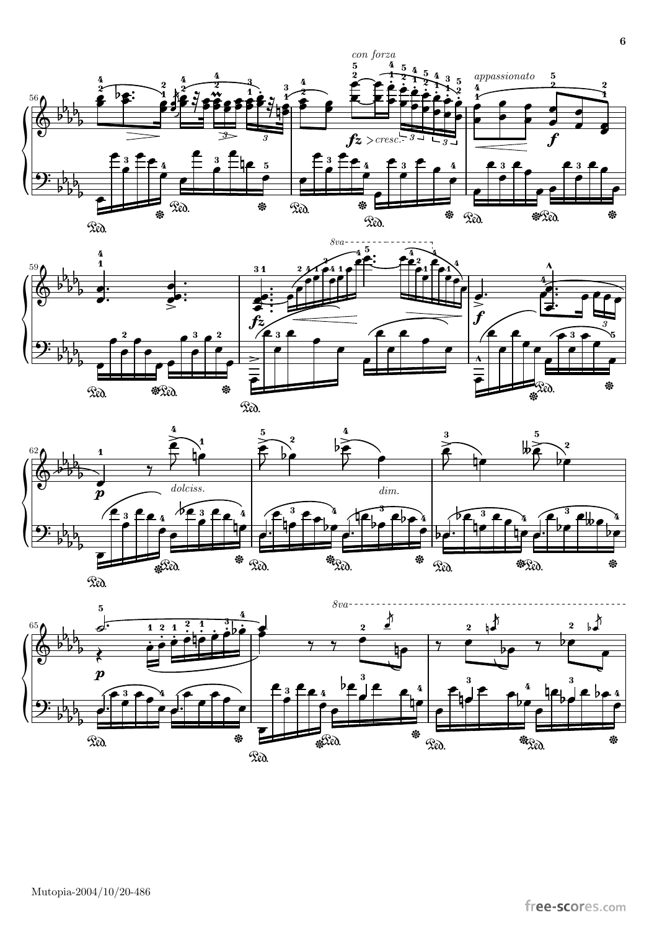![](_page_5_Figure_0.jpeg)

![](_page_5_Figure_1.jpeg)

![](_page_5_Figure_2.jpeg)

![](_page_5_Figure_3.jpeg)